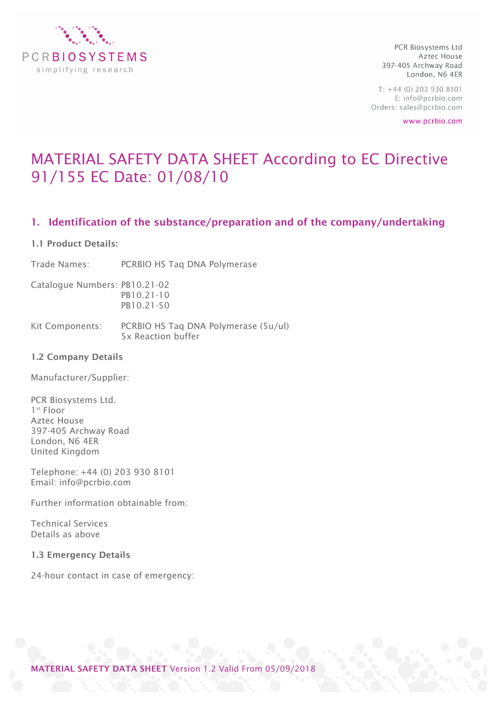

 $T: +44(0)$  203 930 8101 E: info@pcrbio.com Orders: sales@pcrbio.com

www.pcrbio.com

# MATERIAL SAFETY DATA SHEET According to EC Directive 91/155 EC Date: 01/08/10

## 1. Identification of the substance/preparation and of the company/undertaking

#### 1.1 Product Details:

Trade Names: PCRBIO HS Taq DNA Polymerase

Catalogue Numbers: PB10.21-02 PB10.21-10 PB10.21-50

Kit Components: PCRBIO HS Taq DNA Polymerase (5u/ul) 5x Reaction buffer

#### 1.2 Company Details

Manufacturer/Supplier:

PCR Biosystems Ltd. 1<sup>st</sup> Floor Aztec House 397-405 Archway Road London, N6 4ER United Kingdom

Telephone: +44 (0) 203 930 8101 Email: info@pcrbio.com

Further information obtainable from:

Technical Services Details as above

#### 1.3 Emergency Details

24-hour contact in case of emergency:

MATERIAL SAFETY DATA SHEET Version 1.2 Valid From 05/09/2018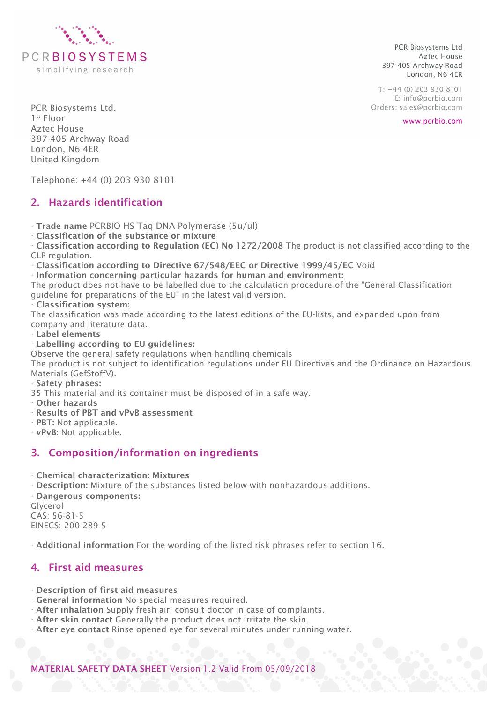

 $T: +44(0)$  203 930 8101 E: info@pcrbio.com Orders: sales@pcrbio.com

www.pcrbio.com

PCR Biosystems Ltd. 1st Floor Aztec House 397-405 Archway Road London, N6 4ER United Kingdom

Telephone: +44 (0) 203 930 8101

# 2. Hazards identification

· Trade name PCRBIO HS Taq DNA Polymerase (5u/ul)

· Classification of the substance or mixture

· Classification according to Regulation (EC) No 1272/2008 The product is not classified according to the CLP regulation.

· Classification according to Directive 67/548/EEC or Directive 1999/45/EC Void

· Information concerning particular hazards for human and environment:

The product does not have to be labelled due to the calculation procedure of the "General Classification guideline for preparations of the EU" in the latest valid version.

#### · Classification system:

The classification was made according to the latest editions of the EU-lists, and expanded upon from company and literature data.

· Label elements

· Labelling according to EU guidelines:

Observe the general safety regulations when handling chemicals

The product is not subject to identification regulations under EU Directives and the Ordinance on Hazardous Materials (GefStoffV).

· Safety phrases:

35 This material and its container must be disposed of in a safe way.

· Other hazards

- · Results of PBT and vPvB assessment
- · PBT: Not applicable.

· vPvB: Not applicable.

## 3. Composition/information on ingredients

· Chemical characterization: Mixtures

· Description: Mixture of the substances listed below with nonhazardous additions.

· Dangerous components: Glycerol CAS: 56-81-5 EINECS: 200-289-5

· Additional information For the wording of the listed risk phrases refer to section 16.

## 4. First aid measures

- · Description of first aid measures
- · General information No special measures required.
- · After inhalation Supply fresh air; consult doctor in case of complaints.
- · After skin contact Generally the product does not irritate the skin.
- · After eye contact Rinse opened eye for several minutes under running water.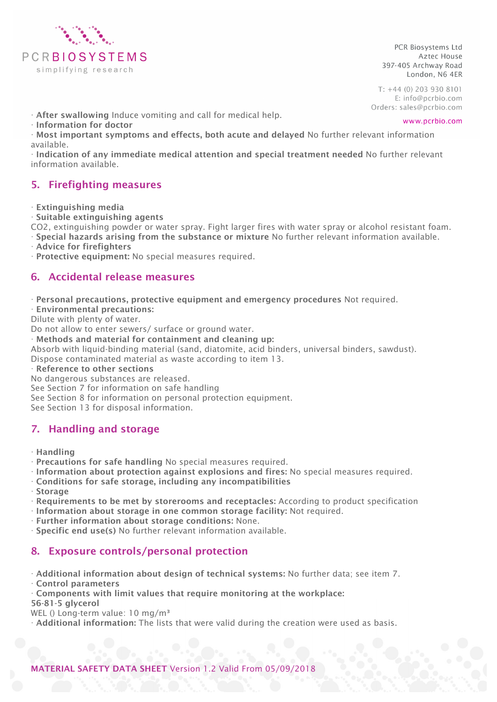

 $T: +44(0)$  203 930 8101 E: info@pcrbio.com Orders: sales@pcrbio.com

www.pcrbio.com

· After swallowing Induce vomiting and call for medical help.

· Information for doctor

· Most important symptoms and effects, both acute and delayed No further relevant information available.

· Indication of any immediate medical attention and special treatment needed No further relevant information available.

## 5. Firefighting measures

· Extinguishing media

· Suitable extinguishing agents

CO2, extinguishing powder or water spray. Fight larger fires with water spray or alcohol resistant foam.

· Special hazards arising from the substance or mixture No further relevant information available.

· Advice for firefighters

· Protective equipment: No special measures required.

## 6. Accidental release measures

· Personal precautions, protective equipment and emergency procedures Not required.

· Environmental precautions:

Dilute with plenty of water.

Do not allow to enter sewers/ surface or ground water.

· Methods and material for containment and cleaning up:

Absorb with liquid-binding material (sand, diatomite, acid binders, universal binders, sawdust). Dispose contaminated material as waste according to item 13.

· Reference to other sections

No dangerous substances are released.

See Section 7 for information on safe handling

See Section 8 for information on personal protection equipment.

See Section 13 for disposal information.

## 7. Handling and storage

- · Handling
- · Precautions for safe handling No special measures required.
- · Information about protection against explosions and fires: No special measures required.
- · Conditions for safe storage, including any incompatibilities

· Storage

- · Requirements to be met by storerooms and receptacles: According to product specification
- · Information about storage in one common storage facility: Not required.
- · Further information about storage conditions: None.
- · Specific end use(s) No further relevant information available.

## 8. Exposure controls/personal protection

- · Additional information about design of technical systems: No further data; see item 7. · Control parameters
- · Components with limit values that require monitoring at the workplace:

56-81-5 glycerol WEL () Long-term value: 10 mg/m<sup>3</sup>

· Additional information: The lists that were valid during the creation were used as basis.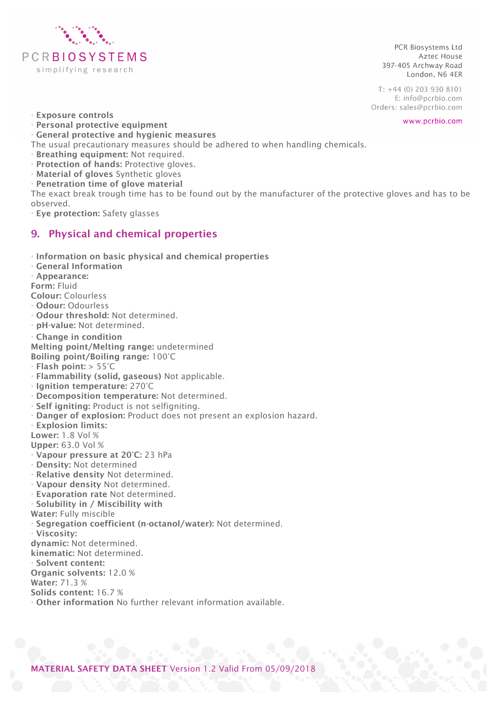

 $T: +44(0)$  203 930 8101 E: info@pcrbio.com Orders: sales@pcrbio.com

www.pcrbio.com

- · Exposure controls
- · Personal protective equipment
- · General protective and hygienic measures

The usual precautionary measures should be adhered to when handling chemicals.

- · Breathing equipment: Not required.
- · Protection of hands: Protective gloves.
- · Material of gloves Synthetic gloves
- · Penetration time of glove material

The exact break trough time has to be found out by the manufacturer of the protective gloves and has to be observed.

· Eye protection: Safety glasses

## 9. Physical and chemical properties

- · Information on basic physical and chemical properties
- · General Information
- · Appearance:
- Form: Fluid
- Colour: Colourless
- · Odour: Odourless
- · Odour threshold: Not determined.
- · pH-value: Not determined.
- · Change in condition

Melting point/Melting range: undetermined

- Boiling point/Boiling range: 100°C
- · Flash point: > 55°C
- · Flammability (solid, gaseous) Not applicable.
- · Ignition temperature: 270°C
- · Decomposition temperature: Not determined.
- · Self igniting: Product is not selfigniting.
- · Danger of explosion: Product does not present an explosion hazard.
- · Explosion limits:
- Lower: 1.8 Vol %
- Upper: 63.0 Vol %
- · Vapour pressure at 20°C: 23 hPa
- · Density: Not determined
- · Relative density Not determined.
- · Vapour density Not determined.
- · Evaporation rate Not determined.
- · Solubility in / Miscibility with
- Water: Fully miscible
- · Segregation coefficient (n-octanol/water): Not determined.
- · Viscosity:
- dynamic: Not determined.
- kinematic: Not determined.
- · Solvent content:
- Organic solvents: 12.0 %
- Water: 71.3 %
- Solids content: 16.7 %
- · Other information No further relevant information available.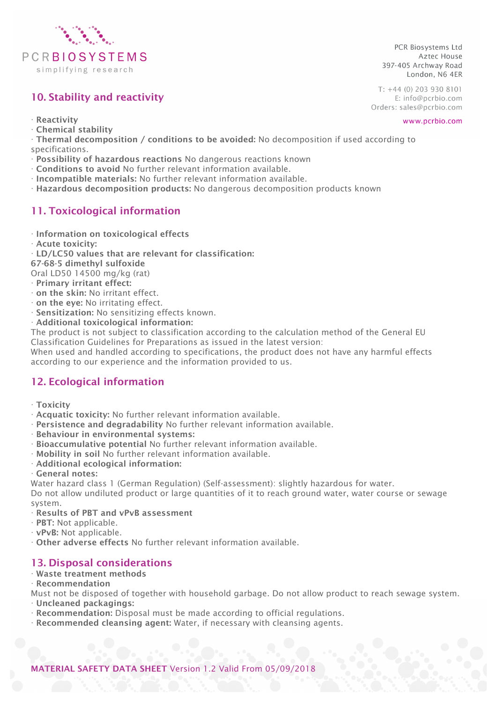

# 10. Stability and reactivity

 $T: +44(0)$  203 930 8101 E: info@pcrbio.com Orders: sales@pcrbio.com

PCR Biosystems Ltd

397-405 Archway Road

Aztec House

London, N6 4ER

· Reactivity

- · Chemical stability
- · Thermal decomposition / conditions to be avoided: No decomposition if used according to specifications.
- · Possibility of hazardous reactions No dangerous reactions known
- · Conditions to avoid No further relevant information available.
- · Incompatible materials: No further relevant information available.
- · Hazardous decomposition products: No dangerous decomposition products known

# 11. Toxicological information

- · Information on toxicological effects
- · Acute toxicity:
- · LD/LC50 values that are relevant for classification:

67-68-5 dimethyl sulfoxide

Oral LD50 14500 mg/kg (rat)

- · Primary irritant effect:
- · on the skin: No irritant effect.
- · on the eye: No irritating effect.
- · Sensitization: No sensitizing effects known.
- · Additional toxicological information:

The product is not subject to classification according to the calculation method of the General EU Classification Guidelines for Preparations as issued in the latest version:

When used and handled according to specifications, the product does not have any harmful effects according to our experience and the information provided to us.

# 12. Ecological information

- · Toxicity
- · Acquatic toxicity: No further relevant information available.
- · Persistence and degradability No further relevant information available.
- · Behaviour in environmental systems:
- · Bioaccumulative potential No further relevant information available.
- · Mobility in soil No further relevant information available.
- · Additional ecological information:
- · General notes:

Water hazard class 1 (German Regulation) (Self-assessment): slightly hazardous for water.

Do not allow undiluted product or large quantities of it to reach ground water, water course or sewage system.

- · Results of PBT and vPvB assessment
- · PBT: Not applicable.
- · vPvB: Not applicable.
- · Other adverse effects No further relevant information available.

## 13. Disposal considerations

#### · Waste treatment methods

· Recommendation

Must not be disposed of together with household garbage. Do not allow product to reach sewage system.

- · Uncleaned packagings:
- · Recommendation: Disposal must be made according to official regulations.
- · Recommended cleansing agent: Water, if necessary with cleansing agents.

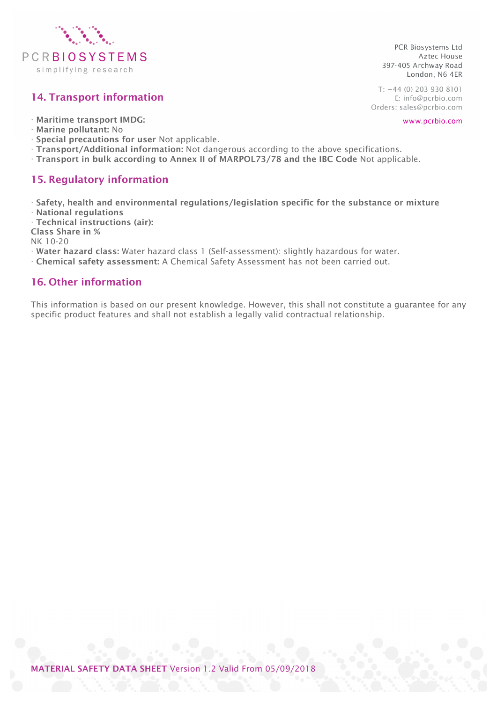

# 14. Transport information

· Maritime transport IMDG:

- · Marine pollutant: No
- · Special precautions for user Not applicable.
- · Transport/Additional information: Not dangerous according to the above specifications.
- · Transport in bulk according to Annex II of MARPOL73/78 and the IBC Code Not applicable.

## 15. Regulatory information

· Safety, health and environmental regulations/legislation specific for the substance or mixture · National regulations

· Technical instructions (air):

Class Share in %

NK 10-20

- · Water hazard class: Water hazard class 1 (Self-assessment): slightly hazardous for water.
- · Chemical safety assessment: A Chemical Safety Assessment has not been carried out.

## 16. Other information

This information is based on our present knowledge. However, this shall not constitute a guarantee for any specific product features and shall not establish a legally valid contractual relationship.

PCR Biosystems Ltd Aztec House 397-405 Archway Road London, N6 4ER

 $T: +44(0)$  203 930 8101 E: info@pcrbio.com Orders: sales@pcrbio.com

www.pcrbio.com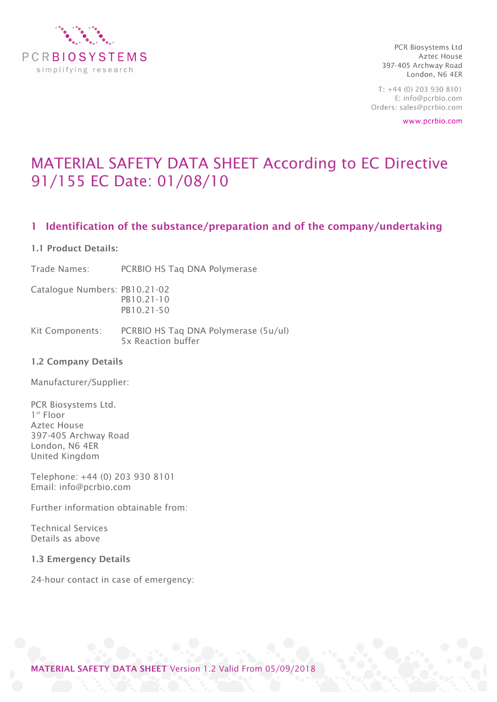

 $T: +44(0)$  203 930 8101 E: info@pcrbio.com Orders: sales@pcrbio.com

www.pcrbio.com

# MATERIAL SAFETY DATA SHEET According to EC Directive 91/155 EC Date: 01/08/10

## 1 Identification of the substance/preparation and of the company/undertaking

#### 1.1 Product Details:

Trade Names: PCRBIO HS Taq DNA Polymerase

Catalogue Numbers: PB10.21-02 PB10.21-10 PB10.21-50

Kit Components: PCRBIO HS Taq DNA Polymerase (5u/ul) 5x Reaction buffer

#### 1.2 Company Details

Manufacturer/Supplier:

PCR Biosystems Ltd. 1<sup>st</sup> Floor Aztec House 397-405 Archway Road London, N6 4ER United Kingdom

Telephone: +44 (0) 203 930 8101 Email: info@pcrbio.com

Further information obtainable from:

Technical Services Details as above

1.3 Emergency Details

24-hour contact in case of emergency:

MATERIAL SAFETY DATA SHEET Version 1.2 Valid From 05/09/2018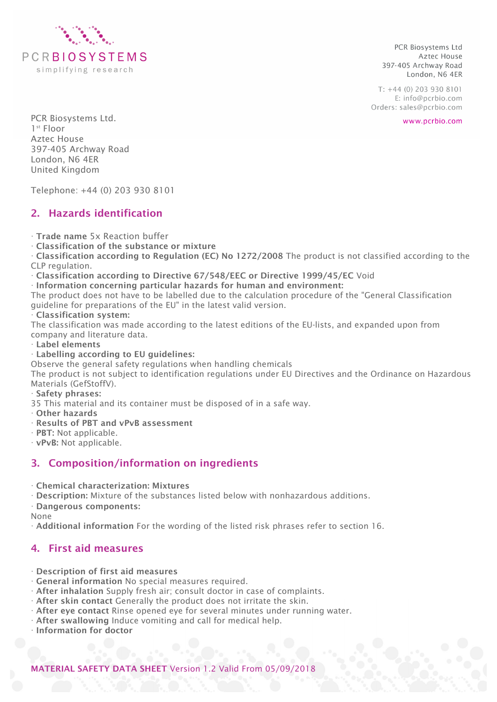

 $T: +44(0)$  203 930 8101 E: info@pcrbio.com Orders: sales@pcrbio.com

www.pcrbio.com

PCR Biosystems Ltd. 1st Floor Aztec House 397-405 Archway Road London, N6 4ER United Kingdom

Telephone: +44 (0) 203 930 8101

## 2. Hazards identification

· Trade name 5x Reaction buffer

· Classification of the substance or mixture

· Classification according to Regulation (EC) No 1272/2008 The product is not classified according to the CLP regulation.

· Classification according to Directive 67/548/EEC or Directive 1999/45/EC Void

· Information concerning particular hazards for human and environment:

The product does not have to be labelled due to the calculation procedure of the "General Classification guideline for preparations of the EU" in the latest valid version.

#### · Classification system:

The classification was made according to the latest editions of the EU-lists, and expanded upon from company and literature data.

· Label elements

#### · Labelling according to EU guidelines:

Observe the general safety regulations when handling chemicals

The product is not subject to identification regulations under EU Directives and the Ordinance on Hazardous Materials (GefStoffV).

#### · Safety phrases:

35 This material and its container must be disposed of in a safe way.

- · Other hazards
- · Results of PBT and vPvB assessment
- · PBT: Not applicable.
- · vPvB: Not applicable.

## 3. Composition/information on ingredients

· Chemical characterization: Mixtures

· Description: Mixture of the substances listed below with nonhazardous additions.

· Dangerous components:

None

· Additional information For the wording of the listed risk phrases refer to section 16.

## 4. First aid measures

- · Description of first aid measures
- · General information No special measures required.
- · After inhalation Supply fresh air; consult doctor in case of complaints.
- · After skin contact Generally the product does not irritate the skin.
- · After eye contact Rinse opened eye for several minutes under running water.
- · After swallowing Induce vomiting and call for medical help.

· Information for doctor

MATERIAL SAFETY DATA SHEET Version 1.2 Valid From 05/09/2018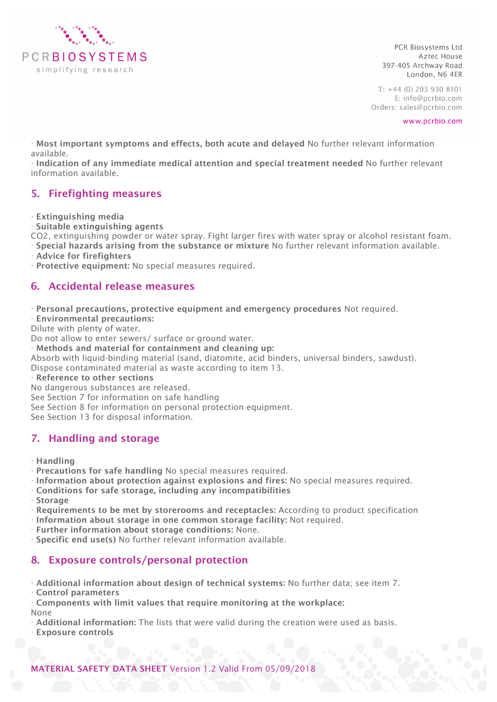

 $T: +44(0)$  203 930 8101 E: info@pcrbio.com Orders: sales@pcrbio.com

www.pcrbio.com

· Most important symptoms and effects, both acute and delayed No further relevant information available.

· Indication of any immediate medical attention and special treatment needed No further relevant information available.

## 5. Firefighting measures

· Extinguishing media

· Suitable extinguishing agents

CO2, extinguishing powder or water spray. Fight larger fires with water spray or alcohol resistant foam. · Special hazards arising from the substance or mixture No further relevant information available.

· Advice for firefighters

· Protective equipment: No special measures required.

## 6. Accidental release measures

· Personal precautions, protective equipment and emergency procedures Not required.

· Environmental precautions:

Dilute with plenty of water.

Do not allow to enter sewers/ surface or ground water.

· Methods and material for containment and cleaning up:

Absorb with liquid-binding material (sand, diatomite, acid binders, universal binders, sawdust).

Dispose contaminated material as waste according to item 13.

· Reference to other sections

No dangerous substances are released.

See Section 7 for information on safe handling

See Section 8 for information on personal protection equipment.

See Section 13 for disposal information.

## 7. Handling and storage

· Handling

· Precautions for safe handling No special measures required.

- · Information about protection against explosions and fires: No special measures required.
- · Conditions for safe storage, including any incompatibilities
- · Storage
- · Requirements to be met by storerooms and receptacles: According to product specification
- · Information about storage in one common storage facility: Not required.
- · Further information about storage conditions: None.
- · Specific end use(s) No further relevant information available.

## 8. Exposure controls/personal protection

· Additional information about design of technical systems: No further data; see item 7.

· Control parameters

· Components with limit values that require monitoring at the workplace: None

· Additional information: The lists that were valid during the creation were used as basis.

· Exposure controls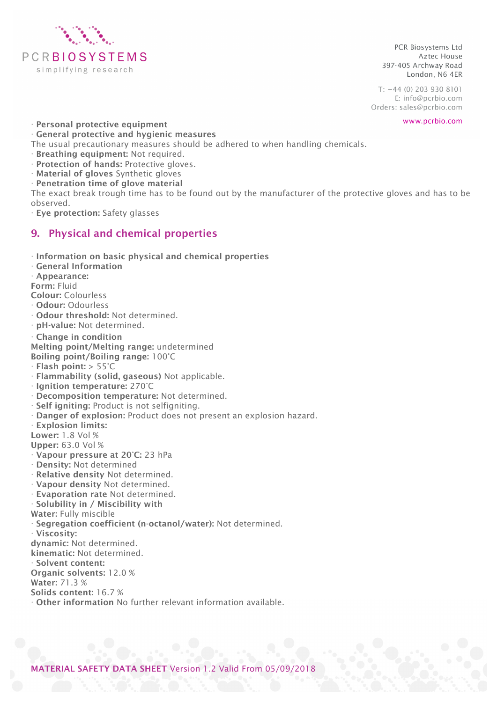

 $T: +44(0)$  203 930 8101 E: info@pcrbio.com Orders: sales@pcrbio.com

www.pcrbio.com

· Personal protective equipment · General protective and hygienic measures

The usual precautionary measures should be adhered to when handling chemicals.

- · Breathing equipment: Not required.
- · Protection of hands: Protective gloves.
- · Material of gloves Synthetic gloves
- · Penetration time of glove material

The exact break trough time has to be found out by the manufacturer of the protective gloves and has to be observed.

· Eye protection: Safety glasses

## 9. Physical and chemical properties

- · Information on basic physical and chemical properties
- · General Information
- · Appearance:
- Form: Fluid
- Colour: Colourless
- · Odour: Odourless
- · Odour threshold: Not determined.
- · pH-value: Not determined.
- · Change in condition

Melting point/Melting range: undetermined

- Boiling point/Boiling range: 100°C
- $\cdot$  Flash point:  $> 55^{\circ}$ C
- · Flammability (solid, gaseous) Not applicable.
- · Ignition temperature: 270°C
- · Decomposition temperature: Not determined.
- · Self igniting: Product is not selfigniting.
- · Danger of explosion: Product does not present an explosion hazard.
- · Explosion limits:
- Lower: 1.8 Vol %
- Upper: 63.0 Vol %
- · Vapour pressure at 20°C: 23 hPa
- · Density: Not determined
- · Relative density Not determined.
- · Vapour density Not determined.
- · Evaporation rate Not determined.
- · Solubility in / Miscibility with

Water: Fully miscible

Segregation coefficient (n-octanol/water): Not determined.

- · Viscosity:
- dynamic: Not determined.
- kinematic: Not determined.
- · Solvent content:
- Organic solvents: 12.0 %
- Water: 71.3 %

Solids content: 16.7 %

· Other information No further relevant information available.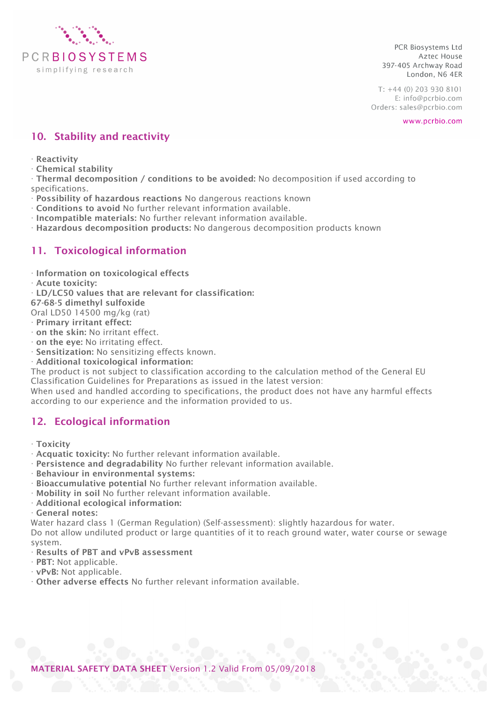

 $T: +44(0)$  203 930 8101 E: info@pcrbio.com Orders: sales@pcrbio.com

www.pcrbio.com

## 10. Stability and reactivity

- · Reactivity
- · Chemical stability

· Thermal decomposition / conditions to be avoided: No decomposition if used according to specifications.

- · Possibility of hazardous reactions No dangerous reactions known
- · Conditions to avoid No further relevant information available.
- · Incompatible materials: No further relevant information available.
- · Hazardous decomposition products: No dangerous decomposition products known

## 11. Toxicological information

- · Information on toxicological effects
- · Acute toxicity:
- · LD/LC50 values that are relevant for classification:
- 67-68-5 dimethyl sulfoxide
- Oral LD50 14500 mg/kg (rat)
- · Primary irritant effect:
- · on the skin: No irritant effect.
- · on the eye: No irritating effect.
- · Sensitization: No sensitizing effects known.
- · Additional toxicological information:

The product is not subject to classification according to the calculation method of the General EU Classification Guidelines for Preparations as issued in the latest version:

When used and handled according to specifications, the product does not have any harmful effects according to our experience and the information provided to us.

## 12. Ecological information

- · Toxicity
- · Acquatic toxicity: No further relevant information available.
- · Persistence and degradability No further relevant information available.
- · Behaviour in environmental systems:
- · Bioaccumulative potential No further relevant information available.
- · Mobility in soil No further relevant information available.
- · Additional ecological information:

· General notes:

Water hazard class 1 (German Regulation) (Self-assessment): slightly hazardous for water.

Do not allow undiluted product or large quantities of it to reach ground water, water course or sewage system.

- · Results of PBT and vPvB assessment
- · PBT: Not applicable.
- · vPvB: Not applicable.
- · Other adverse effects No further relevant information available.